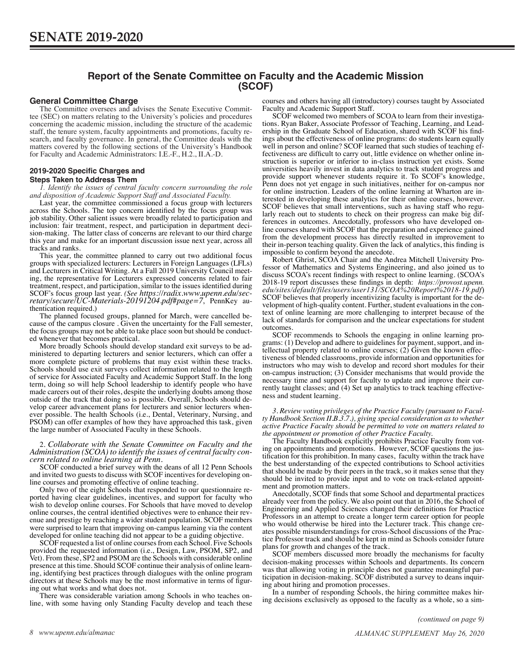# **Report of the Senate Committee on Faculty and the Academic Mission (SCOF)**

## **General Committee Charge**

The Committee oversees and advises the Senate Executive Committee (SEC) on matters relating to the University's policies and procedures concerning the academic mission, including the structure of the academic staff, the tenure system, faculty appointments and promotions, faculty research, and faculty governance. In general, the Committee deals with the matters covered by the following sections of the University's Handbook for Faculty and Academic Administrators: I.E.-F., H.2., II.A.-D.

### **2019-2020 Specific Charges and Steps Taken to Address Them**

*1. Identify the issues of central faculty concern surrounding the role and disposition of Academic Support Staff and Associated Faculty.* 

Last year, the committee commissioned a focus group with lecturers across the Schools. The top concern identified by the focus group was job stability. Other salient issues were broadly related to participation and inclusion: fair treatment, respect, and participation in department decision-making. The latter class of concerns are relevant to our third charge this year and make for an important discussion issue next year, across all tracks and ranks.

This year, the committee planned to carry out two additional focus groups with specialized lecturers: Lecturers in Foreign Languages (LFLs) and Lecturers in Critical Writing. At a Fall 2019 University Council meeting, the representative for Lecturers expressed concerns related to fair treatment, respect, and participation, similar to the issues identified during SCOF's focus group last year. *(See [https://radix.www.upenn.edu/sec-](https://radix.www.upenn.edu/secretary/secure/UC-Materials-20191204.pdf%23page=7) [retary/secure/UC-Materials-20191204.pdf#page=7](https://radix.www.upenn.edu/secretary/secure/UC-Materials-20191204.pdf%23page=7)*, PennKey authentication required.)

The planned focused groups, planned for March, were cancelled because of the campus closure . Given the uncertainty for the Fall semester, the focus groups may not be able to take place soon but should be conducted whenever that becomes practical.

More broadly Schools should develop standard exit surveys to be administered to departing lecturers and senior lecturers, which can offer a more complete picture of problems that may exist within these tracks. Schools should use exit surveys collect information related to the length of service for Associated Faculty and Academic Support Staff. In the long term, doing so will help School leadership to identify people who have made careers out of their roles, despite the underlying doubts among those outside of the track that doing so is possible. Overall, Schools should develop career advancement plans for lecturers and senior lecturers whenever possible. The health Schools (i.e., Dental, Veterinary, Nursing, and PSOM) can offer examples of how they have approached this task, given the large number of Associated Faculty in these Schools.

# 2. *Collaborate with the Senate Committee on Faculty and the Administration (SCOA) to identify the issues of central faculty con- cern related to online learning at Penn.*

SCOF conducted a brief survey with the deans of all 12 Penn Schools and invited two guests to discuss with SCOF incentives for developing online courses and promoting effective of online teaching.

Only two of the eight Schools that responded to our questionnaire reported having clear guidelines, incentives, and support for faculty who wish to develop online courses. For Schools that have moved to develop online courses, the central identified objectives were to enhance their revenue and prestige by reaching a wider student population. SCOF members were surprised to learn that improving on-campus learning via the content developed for online teaching did not appear to be a guiding objective.

SCOF requested a list of online courses from each School. Five Schools provided the requested information (i.e., Design, Law, PSOM, SP2, and Vet). From these, SP2 and PSOM are the Schools with considerable online presence at this time. Should SCOF continue their analysis of online learning, identifying best practices through dialogues with the online program directors at these Schools may be the most informative in terms of figur-

ing out what works and what does not.<br>There was considerable variation among Schools in who teaches online, with some having only Standing Faculty develop and teach these courses and others having all (introductory) courses taught by Associated Faculty and Academic Support Staff.

SCOF welcomed two members of SCOA to learn from their investigations. Ryan Baker, Associate Professor of Teaching, Learning, and Leadership in the Graduate School of Education, shared with SCOF his findings about the effectiveness of online programs: do students learn equally well in person and online? SCOF learned that such studies of teaching effectiveness are difficult to carry out, little evidence on whether online instruction is superior or inferior to in-class instruction yet exists. Some universities heavily invest in data analytics to track student progress and provide support whenever students require it. To SCOF's knowledge, Penn does not yet engage in such initiatives, neither for on-campus nor for online instruction. Leaders of the online learning at Wharton are interested in developing these analytics for their online courses, however. SCOF believes that small interventions, such as having staff who regularly reach out to students to check on their progress can make big differences in outcomes. Anecdotally, professors who have developed online courses shared with SCOF that the preparation and experience gained from the development process has directly resulted in improvement to their in-person teaching quality. Given the lack of analytics, this finding is impossible to confirm beyond the anecdote.

Robert Ghrist, SCOA Chair and the Andrea Mitchell University Professor of Mathematics and Systems Engineering, and also joined us to discuss SCOA's recent findings with respect to online learning. (SCOA's 2018-19 report discusses these findings in depth: *[https://provost.upenn.](https://provost.upenn.edu/sites/default/files/users/user131/SCOA%20Report%2018-19.pdf) [edu/sites/default/files/users/user131/SCOA%20Report%2018-19.pdf](https://provost.upenn.edu/sites/default/files/users/user131/SCOA%20Report%2018-19.pdf)*) SCOF believes that properly incentivizing faculty is important for the development of high-quality content. Further, student evaluations in the context of online learning are more challenging to interpret because of the lack of standards for comparison and the unclear expectations for student outcomes.

SCOF recommends to Schools the engaging in online learning programs: (1) Develop and adhere to guidelines for payment, support, and intellectual property related to online courses;  $(2)$  Given the known effectiveness of blended classrooms, provide information and opportunities for instructors who may wish to develop and record short modules for their on-campus instruction; (3) Consider mechanisms that would provide the necessary time and support for faculty to update and improve their currently taught classes; and (4) Set up analytics to track teaching effectiveness and student learning.

*3. Review voting privileges of the Practice Faculty (pursuant to Faculty Handbook Section II.B.3.7.), giving special consideration as to whether active Practice Faculty should be permitted to vote on matters related to the appointment or promotion of other Practice Faculty.*

The Faculty Handbook explicitly prohibits Practice Faculty from voting on appointments and promotions. However, SCOF questions the justification for this prohibition. In many cases, faculty within the track have the best understanding of the expected contributions to School activities that should be made by their peers in the track, so it makes sense that they should be invited to provide input and to vote on track-related appointment and promotion matters.

Anecdotally, SCOF finds that some School and departmental practices already veer from the policy. We also point out that in 2016, the School of Engineering and Applied Sciences changed their definitions for Practice Professors in an attempt to create a longer term career option for people who would otherwise be hired into the Lecturer track. This change creates possible misunderstandings for cross-School discussions of the Practice Professor track and should be kept in mind as Schools consider future plans for growth and changes of the track.

SCOF members discussed more broadly the mechanisms for faculty decision-making processes within Schools and departments. Its concern was that allowing voting in principle does not guarantee meaningful participation in decision-making. SCOF distributed a survey to deans inquiring about hiring and promotion processes.

In a number of responding Schools, the hiring committee makes hiring decisions exclusively as opposed to the faculty as a whole, so a sim-

*(continued on page 9)*